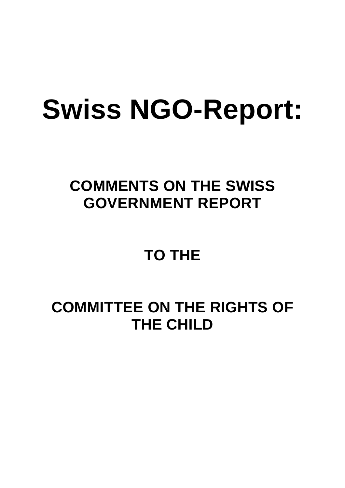# **Swiss NGO-Report:**

# **COMMENTS ON THE SWISS GOVERNMENT REPORT**

# **TO THE**

# **COMMITTEE ON THE RIGHTS OF THE CHILD**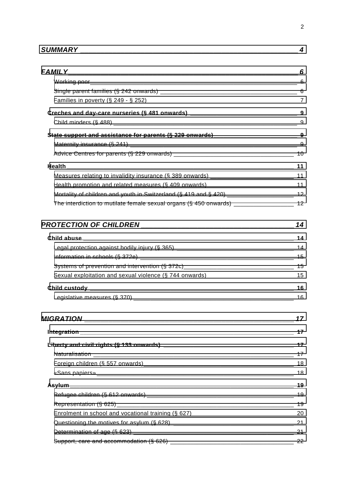| <b>SUMMARY</b> |  |
|----------------|--|
|----------------|--|

| Health promotion and related measures (§ 409 onwards)____________________________ 11        |    |
|---------------------------------------------------------------------------------------------|----|
| Mortality of children and youth in Switzerland (§ 419 and § 420) _______________________ 12 |    |
| The interdiction to mutilate female sexual organs (§ 450 onwards) ____________________ 12   |    |
|                                                                                             |    |
|                                                                                             |    |
|                                                                                             |    |
|                                                                                             |    |
|                                                                                             |    |
|                                                                                             |    |
|                                                                                             |    |
|                                                                                             | 16 |
| <b>MIGRATION</b>                                                                            | 17 |
|                                                                                             | 17 |
|                                                                                             | 17 |
|                                                                                             |    |
|                                                                                             | 18 |
|                                                                                             |    |
|                                                                                             | 19 |
|                                                                                             |    |
|                                                                                             |    |
|                                                                                             |    |
|                                                                                             |    |
|                                                                                             |    |
|                                                                                             |    |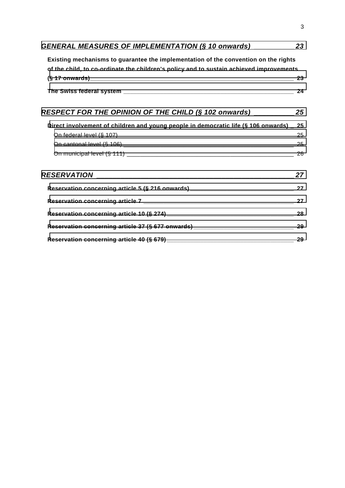| GENERAL MEASURES OF IMPLEMENTATION (§ 10 onwards) ____________ 23                                                                                                              |    |
|--------------------------------------------------------------------------------------------------------------------------------------------------------------------------------|----|
| Existing mechanisms to guarantee the implementation of the convention on the rights<br>of the child, to co-ordinate the children's policy and to sustain achieved improvements |    |
|                                                                                                                                                                                |    |
|                                                                                                                                                                                |    |
| RESPECT FOR THE OPINION OF THE CHILD $(\S$ 102 onwards) _____________ 25                                                                                                       |    |
| Direct involvement of children and young people in democratic life (§ 106 onwards) _ 25                                                                                        |    |
|                                                                                                                                                                                |    |
|                                                                                                                                                                                |    |
|                                                                                                                                                                                |    |
|                                                                                                                                                                                |    |
|                                                                                                                                                                                |    |
|                                                                                                                                                                                |    |
|                                                                                                                                                                                |    |
| Reservation concerning article 37 (§ 677 onwards) _______________________________ 29                                                                                           |    |
|                                                                                                                                                                                | 29 |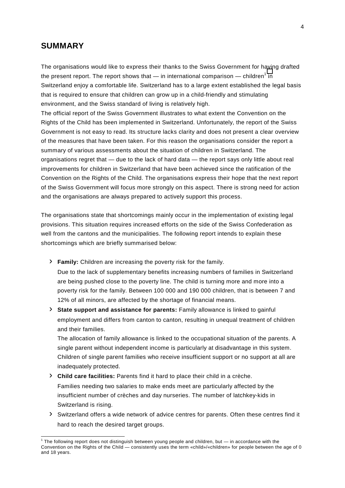### <span id="page-3-0"></span>**SUMMARY**

The organisations would like to express their thanks to the Swiss Government for having drafted the present report. The report shows that — in international comparison — children<sup>1</sup> in Switzerland enjoy a comfortable life. Switzerland has to a large extent established the legal basis that is required to ensure that children can grow up in a child-friendly and stimulating environment, and the Swiss standard of living is relatively high.

The official report of the Swiss Government illustrates to what extent the Convention on the Rights of the Child has been implemented in Switzerland. Unfortunately, the report of the Swiss Government is not easy to read. Its structure lacks clarity and does not present a clear overview of the measures that have been taken. For this reason the organisations consider the report a summary of various assessments about the situation of children in Switzerland. The organisations regret that — due to the lack of hard data — the report says only little about real improvements for children in Switzerland that have been achieved since the ratification of the Convention on the Rights of the Child. The organisations express their hope that the next report of the Swiss Government will focus more strongly on this aspect. There is strong need for action and the organisations are always prepared to actively support this process.

The organisations state that shortcomings mainly occur in the implementation of existing legal provisions. This situation requires increased efforts on the side of the Swiss Confederation as well from the cantons and the municipalities. The following report intends to explain these shortcomings which are briefly summarised below:

- › **Family:** Children are increasing the poverty risk for the family. Due to the lack of supplementary benefits increasing numbers of families in Switzerland are being pushed close to the poverty line. The child is turning more and more into a poverty risk for the family. Between 100 000 and 190 000 children, that is between 7 and 12% of all minors, are affected by the shortage of financial means.
- › **State support and assistance for parents:** Family allowance is linked to gainful employment and differs from canton to canton, resulting in unequal treatment of children and their families.

 The allocation of family allowance is linked to the occupational situation of the parents. A single parent without independent income is particularly at disadvantage in this system. Children of single parent families who receive insufficient support or no support at all are inadequately protected.

- › **Child care facilities:** Parents find it hard to place their child in a crèche. Families needing two salaries to make ends meet are particularly affected by the insufficient number of crèches and day nurseries. The number of latchkey-kids in Switzerland is rising.
- › Switzerland offers a wide network of advice centres for parents. Often these centres find it hard to reach the desired target groups.

 1 The following report does not distinguish between young people and children, but — in accordance with the Convention on the Rights of the Child — consistently uses the term «child»/«children» for people between the age of 0 and 18 years.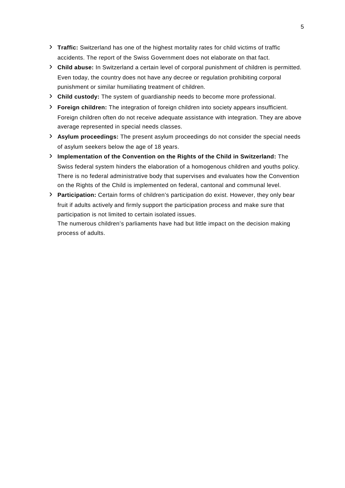- › **Traffic:** Switzerland has one of the highest mortality rates for child victims of traffic accidents. The report of the Swiss Government does not elaborate on that fact.
- › **Child abuse:** In Switzerland a certain level of corporal punishment of children is permitted. Even today, the country does not have any decree or regulation prohibiting corporal punishment or similar humiliating treatment of children.
- › **Child custody:** The system of guardianship needs to become more professional.
- › **Foreign children:** The integration of foreign children into society appears insufficient. Foreign children often do not receive adequate assistance with integration. They are above average represented in special needs classes.
- › **Asylum proceedings:** The present asylum proceedings do not consider the special needs of asylum seekers below the age of 18 years.
- › **Implementation of the Convention on the Rights of the Child in Switzerland:** The Swiss federal system hinders the elaboration of a homogenous children and youths policy. There is no federal administrative body that supervises and evaluates how the Convention on the Rights of the Child is implemented on federal, cantonal and communal level.
- › **Participation:** Certain forms of children's participation do exist. However, they only bear fruit if adults actively and firmly support the participation process and make sure that participation is not limited to certain isolated issues.

The numerous children's parliaments have had but little impact on the decision making process of adults.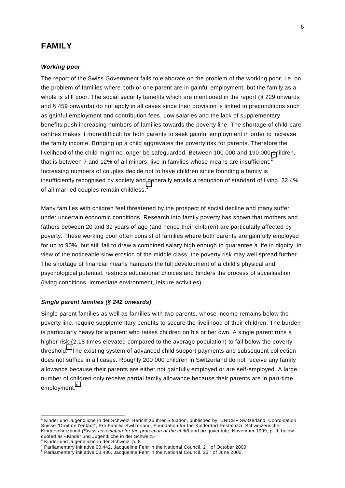# <span id="page-5-0"></span>**FAMILY**

#### *Working poor*

The report of the Swiss Government fails to elaborate on the problem of the working poor, i.e. on the problem of families where both or one parent are in gainful employment, but the family as a whole is still poor. The social security benefits which are mentioned in the report (§ 229 onwards and § 459 onwards) do not apply in all cases since their provision is linked to preconditions such as gainful employment and contribution fees. Low salaries and the lack of supplementary benefits push increasing numbers of families towards the poverty line. The shortage of child-care centres makes it more difficult for both parents to seek gainful employment in order to increase the family income. Bringing up a child aggravates the poverty risk for parents. Therefore the livelihood of the child might no longer be safeguarded. Between 100 000 and 190 000 children, that is between 7 and 12% of all minors, live in families whose means are insufficient.<sup>2</sup> Increasing numbers of couples decide not to have children since founding a family is insufficiently recognised by society and generally entails a reduction of standard of living. 22,4% of all married couples remain childless.<sup>3</sup>

Many families with children feel threatened by the prospect of social decline and many suffer under uncertain economic conditions. Research into family poverty has shown that mothers and fathers between 20 and 39 years of age (and hence their children) are particularly affected by poverty. These working poor often consist of families where both parents are gainfully employed for up to 90%, but still fail to draw a combined salary high enough to guarantee a life in dignity. In view of the noticeable slow erosion of the middle class, the poverty risk may well spread further. The shortage of financial means hampers the full development of a child's physical and psychological potential, restricts educational choices and hinders the process of socialisation (living conditions, immediate environment, leisure activities).

#### *Single parent families (§ 242 onwards)*

Single parent families as well as families with two parents, whose income remains below the poverty line, require supplementary benefits to secure the livelihood of their children. The burden is particularly heavy for a parent who raises children on his or her own. A single parent runs a higher risk (2,18 times elevated compared to the average population) to fall below the poverty threshold.<sup>4</sup> The existing system of advanced child support payments and subsequent collection does not suffice in all cases. Roughly 200 000 children in Switzerland do not receive any family allowance because their parents are either not gainfully employed or are self-employed. A large number of children only receive partial family allowance because their parents are in part-time employment.<sup>5</sup>

 $\overline{a}$ 

<sup>&</sup>lt;sup>2</sup> Kinder und Jugendliche in der Schweiz: Bericht zu ihrer Situation, published by: UNICEF Switzerland, Coordination Suisse "Droit de l'enfant", Pro Familia Switzerland, Foundation for the Kinderdorf Pestalozzi, Schweizerischer Kinderschutzbund *(Swiss association for the protection of the child)* and pro juventute, November 1999, p. 9, below quoted as «Kinder und Jugendliche in der Schweiz»<br><sup>3</sup> Kinder und Jugendliche in der Schweiz, p. 9

Kinder und Jugendliche in der Schweiz, p. 8

<sup>&</sup>lt;sup>4</sup> Parliamentary initiative 00.442, Jacqueline Fehr in the National Council,  $2^{nd}$  of October 2000.

 $5$  Parliamentary initiative 00.430, Jacqueline Fehr in the National Council, 23<sup>rd</sup> of June 2000.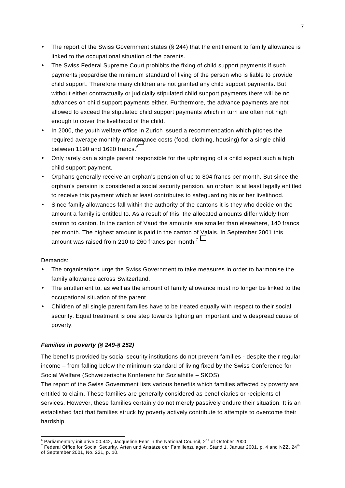- <span id="page-6-0"></span>• The report of the Swiss Government states (§ 244) that the entitlement to family allowance is linked to the occupational situation of the parents.
- The Swiss Federal Supreme Court prohibits the fixing of child support payments if such payments jeopardise the minimum standard of living of the person who is liable to provide child support. Therefore many children are not granted any child support payments. But without either contractually or judicially stipulated child support payments there will be no advances on child support payments either. Furthermore, the advance payments are not allowed to exceed the stipulated child support payments which in turn are often not high enough to cover the livelihood of the child.
- In 2000, the youth welfare office in Zurich issued a recommendation which pitches the required average monthly maintenance costs (food, clothing, housing) for a single child between 1190 and 1620 francs.<sup>6</sup>
- Only rarely can a single parent responsible for the upbringing of a child expect such a high child support payment.
- Orphans generally receive an orphan's pension of up to 804 francs per month. But since the orphan's pension is considered a social security pension, an orphan is at least legally entitled to receive this payment which at least contributes to safeguarding his or her livelihood.
- Since family allowances fall within the authority of the cantons it is they who decide on the amount a family is entitled to. As a result of this, the allocated amounts differ widely from canton to canton. In the canton of Vaud the amounts are smaller than elsewhere, 140 francs per month. The highest amount is paid in the canton of Valais. In September 2001 this amount was raised from 210 to 260 francs per month.<sup>7</sup>

- The organisations urge the Swiss Government to take measures in order to harmonise the family allowance across Switzerland.
- The entitlement to, as well as the amount of family allowance must no longer be linked to the occupational situation of the parent.
- Children of all single parent families have to be treated equally with respect to their social security. Equal treatment is one step towards fighting an important and widespread cause of poverty.

#### *Families in poverty (§ 249-§ 252)*

The benefits provided by social security institutions do not prevent families - despite their regular income – from falling below the minimum standard of living fixed by the Swiss Conference for Social Welfare (Schweizerische Konferenz für Sozialhilfe – SKOS).

The report of the Swiss Government lists various benefits which families affected by poverty are entitled to claim. These families are generally considered as beneficiaries or recipients of services. However, these families certainly do not merely passively endure their situation. It is an established fact that families struck by poverty actively contribute to attempts to overcome their hardship.

<sup>&</sup>lt;sup>6</sup> Parliamentary initiative 00.442, Jacqueline Fehr in the National Council, 2<sup>nd</sup> of October 2000.<br><sup>7</sup> Eaderal Office for Social Security, Arten und Angätze der Femilienzulesce. Stand 1. Januar 2

Federal Office for Social Security, Arten und Ansätze der Familienzulagen, Stand 1. Januar 2001, p. 4 and NZZ, 24th of September 2001, No. 221, p. 10.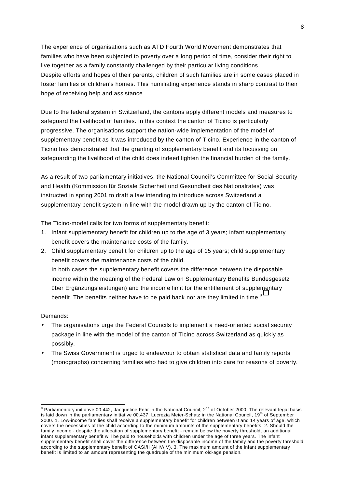The experience of organisations such as ATD Fourth World Movement demonstrates that families who have been subjected to poverty over a long period of time, consider their right to live together as a family constantly challenged by their particular living conditions. Despite efforts and hopes of their parents, children of such families are in some cases placed in foster families or children's homes. This humiliating experience stands in sharp contrast to their hope of receiving help and assistance.

Due to the federal system in Switzerland, the cantons apply different models and measures to safeguard the livelihood of families. In this context the canton of Ticino is particularly progressive. The organisations support the nation-wide implementation of the model of supplementary benefit as it was introduced by the canton of Ticino. Experience in the canton of Ticino has demonstrated that the granting of supplementary benefit and its focussing on safeguarding the livelihood of the child does indeed lighten the financial burden of the family.

As a result of two parliamentary initiatives, the National Council's Committee for Social Security and Health (Kommission für Soziale Sicherheit und Gesundheit des Nationalrates) was instructed in spring 2001 to draft a law intending to introduce across Switzerland a supplementary benefit system in line with the model drawn up by the canton of Ticino.

The Ticino-model calls for two forms of supplementary benefit:

- 1. Infant supplementary benefit for children up to the age of 3 years; infant supplementary benefit covers the maintenance costs of the family.
- 2. Child supplementary benefit for children up to the age of 15 years; child supplementary benefit covers the maintenance costs of the child. In both cases the supplementary benefit covers the difference between the disposable income within the meaning of the Federal Law on Supplementary Benefits Bundesgesetz über Ergänzungsleistungen) and the income limit for the entitlement of supplementary benefit. The benefits neither have to be paid back nor are they limited in time. $8$

- The organisations urge the Federal Councils to implement a need-oriented social security package in line with the model of the canton of Ticino across Switzerland as quickly as possibly.
- The Swiss Government is urged to endeavour to obtain statistical data and family reports (monographs) concerning families who had to give children into care for reasons of poverty.

a<br>Berliamentary initiative 00.442, Jacqueline Fehr in the National Council, 2<sup>nd</sup> of October 2000. The relevant legal basis is laid down in the parliamentary initiative 00.437, Lucrezia Meier-Schatz in the National Council, 19<sup>th</sup> of September 2000. 1. Low-income families shall receive a supplementary benefit for children between 0 and 14 years of age, which covers the necessities of the child according to the minimum amounts of the supplementary benefits. 2. Should the family income - despite the allocation of supplementary benefit - remain below the poverty threshold, an additional infant supplementary benefit will be paid to households with children under the age of three years. The infant supplementary benefit shall cover the difference between the disposable income of the family and the poverty threshold according to the supplementary benefit of OASI/II (AHV/IV). 3. The maximum amount of the infant supplementary benefit is limited to an amount representing the quadruple of the minimum old-age pension.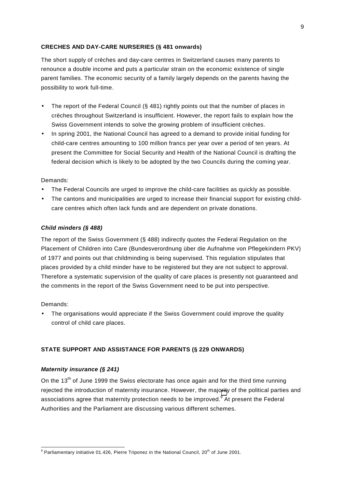#### <span id="page-8-0"></span>**CRECHES AND DAY-CARE NURSERIES (§ 481 onwards)**

The short supply of crèches and day-care centres in Switzerland causes many parents to renounce a double income and puts a particular strain on the economic existence of single parent families. The economic security of a family largely depends on the parents having the possibility to work full-time.

- The report of the Federal Council (§ 481) rightly points out that the number of places in crèches throughout Switzerland is insufficient. However, the report fails to explain how the Swiss Government intends to solve the growing problem of insufficient crèches.
- In spring 2001, the National Council has agreed to a demand to provide initial funding for child-care centres amounting to 100 million francs per year over a period of ten years. At present the Committee for Social Security and Health of the National Council is drafting the federal decision which is likely to be adopted by the two Councils during the coming year.

#### Demands:

- The Federal Councils are urged to improve the child-care facilities as quickly as possible.
- The cantons and municipalities are urged to increase their financial support for existing childcare centres which often lack funds and are dependent on private donations.

#### *Child minders (§ 488)*

The report of the Swiss Government (§ 488) indirectly quotes the Federal Regulation on the Placement of Children into Care (Bundesverordnung über die Aufnahme von Pflegekindern PKV) of 1977 and points out that childminding is being supervised. This regulation stipulates that places provided by a child minder have to be registered but they are not subject to approval. Therefore a systematic supervision of the quality of care places is presently not guaranteed and the comments in the report of the Swiss Government need to be put into perspective.

#### Demands:

The organisations would appreciate if the Swiss Government could improve the quality control of child care places.

#### **STATE SUPPORT AND ASSISTANCE FOR PARENTS (§ 229 ONWARDS)**

#### *Maternity insurance (§ 241)*

On the 13<sup>th</sup> of June 1999 the Swiss electorate has once again and for the third time running rejected the introduction of maternity insurance. However, the majority of the political parties and associations agree that maternity protection needs to be improved.<sup>9</sup> At present the Federal Authorities and the Parliament are discussing various different schemes.

<sup>9&</sup>lt;br>Parliamentary initiative 01.426, Pierre Triponez in the National Council, 20<sup>th</sup> of June 2001.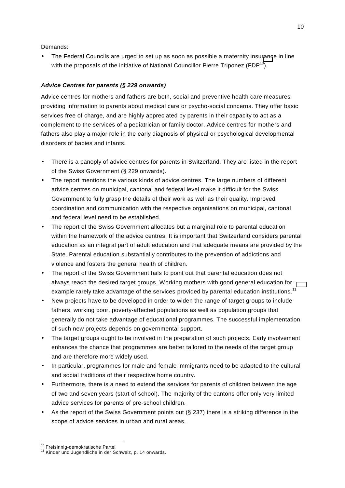<span id="page-9-0"></span>• The Federal Councils are urged to set up as soon as possible a maternity insurance in line with the proposals of the initiative of National Councillor Pierre Triponez (FDP $^{10}$ ).

#### *Advice Centres for parents (§ 229 onwards)*

Advice centres for mothers and fathers are both, social and preventive health care measures providing information to parents about medical care or psycho-social concerns. They offer basic services free of charge, and are highly appreciated by parents in their capacity to act as a complement to the services of a pediatrician or family doctor. Advice centres for mothers and fathers also play a major role in the early diagnosis of physical or psychological developmental disorders of babies and infants.

- There is a panoply of advice centres for parents in Switzerland. They are listed in the report of the Swiss Government (§ 229 onwards).
- The report mentions the various kinds of advice centres. The large numbers of different advice centres on municipal, cantonal and federal level make it difficult for the Swiss Government to fully grasp the details of their work as well as their quality. Improved coordination and communication with the respective organisations on municipal, cantonal and federal level need to be established.
- The report of the Swiss Government allocates but a marginal role to parental education within the framework of the advice centres. It is important that Switzerland considers parental education as an integral part of adult education and that adequate means are provided by the State. Parental education substantially contributes to the prevention of addictions and violence and fosters the general health of children.
- The report of the Swiss Government fails to point out that parental education does not always reach the desired target groups. Working mothers with good general education for example rarely take advantage of the services provided by parental education institutions.<sup>11</sup>
- New projects have to be developed in order to widen the range of target groups to include fathers, working poor, poverty-affected populations as well as population groups that generally do not take advantage of educational programmes. The successful implementation of such new projects depends on governmental support.
- The target groups ought to be involved in the preparation of such projects. Early involvement enhances the chance that programmes are better tailored to the needs of the target group and are therefore more widely used.
- In particular, programmes for male and female immigrants need to be adapted to the cultural and social traditions of their respective home country.
- Furthermore, there is a need to extend the services for parents of children between the age of two and seven years (start of school). The majority of the cantons offer only very limited advice services for parents of pre-school children.
- As the report of the Swiss Government points out  $(S<sub>237</sub>)$  there is a striking difference in the scope of advice services in urban and rural areas.

<sup>&</sup>lt;sup>10</sup> Freisinnig-demokratische Partei

<sup>&</sup>lt;sup>11</sup> Kinder und Jugendliche in der Schweiz, p. 14 onwards.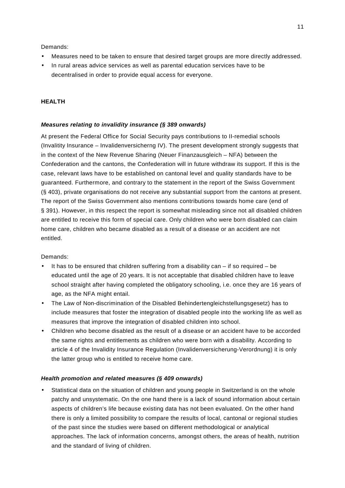- <span id="page-10-0"></span>• Measures need to be taken to ensure that desired target groups are more directly addressed.
- In rural areas advice services as well as parental education services have to be decentralised in order to provide equal access for everyone.

#### **HEALTH**

#### *Measures relating to invalidity insurance (§ 389 onwards)*

At present the Federal Office for Social Security pays contributions to II-remedial schools (Invalitity Insurance – Invalidenversicherng IV). The present development strongly suggests that in the context of the New Revenue Sharing (Neuer Finanzausgleich – NFA) between the Confederation and the cantons, the Confederation will in future withdraw its support. If this is the case, relevant laws have to be established on cantonal level and quality standards have to be guaranteed. Furthermore, and contrary to the statement in the report of the Swiss Government (§ 403), private organisations do not receive any substantial support from the cantons at present. The report of the Swiss Government also mentions contributions towards home care (end of § 391). However, in this respect the report is somewhat misleading since not all disabled children are entitled to receive this form of special care. Only children who were born disabled can claim home care, children who became disabled as a result of a disease or an accident are not entitled.

#### Demands:

- It has to be ensured that children suffering from a disability can  $-$  if so required  $-$  be educated until the age of 20 years. It is not acceptable that disabled children have to leave school straight after having completed the obligatory schooling, i.e. once they are 16 years of age, as the NFA might entail.
- The Law of Non-discrimination of the Disabled Behindertengleichstellungsgesetz) has to include measures that foster the integration of disabled people into the working life as well as measures that improve the integration of disabled children into school.
- Children who become disabled as the result of a disease or an accident have to be accorded the same rights and entitlements as children who were born with a disability. According to article 4 of the Invalidity Insurance Regulation (Invalidenversicherung-Verordnung) it is only the latter group who is entitled to receive home care.

#### *Health promotion and related measures (§ 409 onwards)*

• Statistical data on the situation of children and young people in Switzerland is on the whole patchy and unsystematic. On the one hand there is a lack of sound information about certain aspects of children's life because existing data has not been evaluated. On the other hand there is only a limited possibility to compare the results of local, cantonal or regional studies of the past since the studies were based on different methodological or analytical approaches. The lack of information concerns, amongst others, the areas of health, nutrition and the standard of living of children.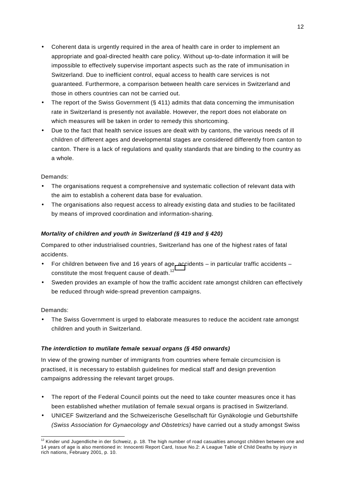- <span id="page-11-0"></span>• Coherent data is urgently required in the area of health care in order to implement an appropriate and goal-directed health care policy. Without up-to-date information it will be impossible to effectively supervise important aspects such as the rate of immunisation in Switzerland. Due to inefficient control, equal access to health care services is not guaranteed. Furthermore, a comparison between health care services in Switzerland and those in others countries can not be carried out.
- The report of the Swiss Government (§ 411) admits that data concerning the immunisation rate in Switzerland is presently not available. However, the report does not elaborate on which measures will be taken in order to remedy this shortcoming.
- Due to the fact that health service issues are dealt with by cantons, the various needs of ill children of different ages and developmental stages are considered differently from canton to canton. There is a lack of regulations and quality standards that are binding to the country as a whole.

- The organisations request a comprehensive and systematic collection of relevant data with the aim to establish a coherent data base for evaluation.
- The organisations also request access to already existing data and studies to be facilitated by means of improved coordination and information-sharing.

#### *Mortality of children and youth in Switzerland (§ 419 and § 420)*

Compared to other industrialised countries, Switzerland has one of the highest rates of fatal accidents.

- For children between five and 16 years of age, accidents in particular traffic accidents constitute the most frequent cause of death.<sup>12</sup>
- Sweden provides an example of how the traffic accident rate amongst children can effectively be reduced through wide-spread prevention campaigns.

#### Demands:

• The Swiss Government is urged to elaborate measures to reduce the accident rate amongst children and youth in Switzerland.

#### *The interdiction to mutilate female sexual organs (§ 450 onwards)*

In view of the growing number of immigrants from countries where female circumcision is practised, it is necessary to establish guidelines for medical staff and design prevention campaigns addressing the relevant target groups.

- The report of the Federal Council points out the need to take counter measures once it has been established whether mutilation of female sexual organs is practised in Switzerland.
- UNICEF Switzerland and the Schweizerische Gesellschaft für Gynäkologie und Geburtshilfe *(Swiss Association for Gynaecology and Obstetrics)* have carried out a study amongst Swiss

l  $12$  Kinder und Jugendliche in der Schweiz, p. 18. The high number of road casualties amongst children between one and 14 years of age is also mentioned in: Innocenti Report Card, Issue No.2: A League Table of Child Deaths by injury in rich nations, February 2001, p. 10.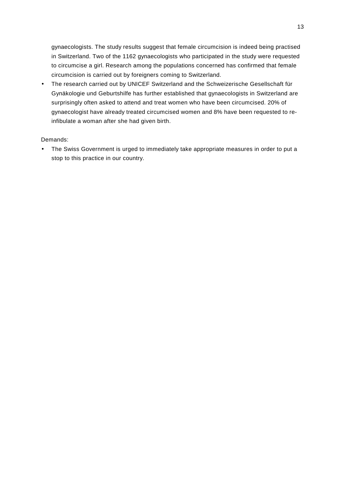gynaecologists. The study results suggest that female circumcision is indeed being practised in Switzerland. Two of the 1162 gynaecologists who participated in the study were requested to circumcise a girl. Research among the populations concerned has confirmed that female circumcision is carried out by foreigners coming to Switzerland.

• The research carried out by UNICEF Switzerland and the Schweizerische Gesellschaft für Gynäkologie und Geburtshilfe has further established that gynaecologists in Switzerland are surprisingly often asked to attend and treat women who have been circumcised. 20% of gynaecologist have already treated circumcised women and 8% have been requested to reinfibulate a woman after she had given birth.

#### Demands:

• The Swiss Government is urged to immediately take appropriate measures in order to put a stop to this practice in our country.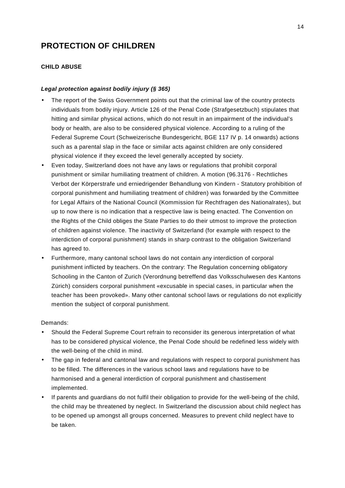# <span id="page-13-0"></span>**PROTECTION OF CHILDREN**

#### **CHILD ABUSE**

#### *Legal protection against bodily injury (§ 365)*

- The report of the Swiss Government points out that the criminal law of the country protects individuals from bodily injury. Article 126 of the Penal Code (Strafgesetzbuch) stipulates that hitting and similar physical actions, which do not result in an impairment of the individual's body or health, are also to be considered physical violence. According to a ruling of the Federal Supreme Court (Schweizerische Bundesgericht, BGE 117 IV p. 14 onwards) actions such as a parental slap in the face or similar acts against children are only considered physical violence if they exceed the level generally accepted by society.
- Even today, Switzerland does not have any laws or regulations that prohibit corporal punishment or similar humiliating treatment of children. A motion (96.3176 - Rechtliches Verbot der Körperstrafe und erniedrigender Behandlung von Kindern - Statutory prohibition of corporal punishment and humiliating treatment of children) was forwarded by the Committee for Legal Affairs of the National Council (Kommission für Rechtfragen des Nationalrates), but up to now there is no indication that a respective law is being enacted. The Convention on the Rights of the Child obliges the State Parties to do their utmost to improve the protection of children against violence. The inactivity of Switzerland (for example with respect to the interdiction of corporal punishment) stands in sharp contrast to the obligation Switzerland has agreed to.
- Furthermore, many cantonal school laws do not contain any interdiction of corporal punishment inflicted by teachers. On the contrary: The Regulation concerning obligatory Schooling in the Canton of Zurich (Verordnung betreffend das Volksschulwesen des Kantons Zürich) considers corporal punishment «excusable in special cases, in particular when the teacher has been provoked». Many other cantonal school laws or regulations do not explicitly mention the subject of corporal punishment.

- Should the Federal Supreme Court refrain to reconsider its generous interpretation of what has to be considered physical violence, the Penal Code should be redefined less widely with the well-being of the child in mind.
- The gap in federal and cantonal law and regulations with respect to corporal punishment has to be filled. The differences in the various school laws and regulations have to be harmonised and a general interdiction of corporal punishment and chastisement implemented.
- If parents and guardians do not fulfil their obligation to provide for the well-being of the child, the child may be threatened by neglect. In Switzerland the discussion about child neglect has to be opened up amongst all groups concerned. Measures to prevent child neglect have to be taken.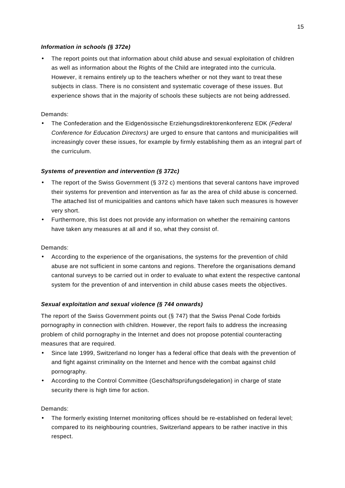#### <span id="page-14-0"></span>*Information in schools (§ 372e)*

• The report points out that information about child abuse and sexual exploitation of children as well as information about the Rights of the Child are integrated into the curricula. However, it remains entirely up to the teachers whether or not they want to treat these subjects in class. There is no consistent and systematic coverage of these issues. But experience shows that in the majority of schools these subjects are not being addressed.

#### Demands:

• The Confederation and the Eidgenössische Erziehungsdirektorenkonferenz EDK *(Federal Conference for Education Directors)* are urged to ensure that cantons and municipalities will increasingly cover these issues, for example by firmly establishing them as an integral part of the curriculum.

#### *Systems of prevention and intervention (§ 372c)*

- The report of the Swiss Government (§ 372 c) mentions that several cantons have improved their systems for prevention and intervention as far as the area of child abuse is concerned. The attached list of municipalities and cantons which have taken such measures is however very short.
- Furthermore, this list does not provide any information on whether the remaining cantons have taken any measures at all and if so, what they consist of.

#### Demands:

• According to the experience of the organisations, the systems for the prevention of child abuse are not sufficient in some cantons and regions. Therefore the organisations demand cantonal surveys to be carried out in order to evaluate to what extent the respective cantonal system for the prevention of and intervention in child abuse cases meets the objectives.

#### *Sexual exploitation and sexual violence (§ 744 onwards)*

The report of the Swiss Government points out (§ 747) that the Swiss Penal Code forbids pornography in connection with children. However, the report fails to address the increasing problem of child pornography in the Internet and does not propose potential counteracting measures that are required.

- Since late 1999, Switzerland no longer has a federal office that deals with the prevention of and fight against criminality on the Internet and hence with the combat against child pornography.
- According to the Control Committee (Geschäftsprüfungsdelegation) in charge of state security there is high time for action.

#### Demands:

• The formerly existing Internet monitoring offices should be re-established on federal level; compared to its neighbouring countries, Switzerland appears to be rather inactive in this respect.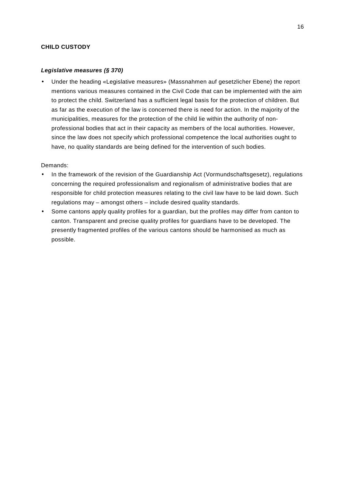#### <span id="page-15-0"></span>**CHILD CUSTODY**

#### *Legislative measures (§ 370)*

• Under the heading «Legislative measures» (Massnahmen auf gesetzlicher Ebene) the report mentions various measures contained in the Civil Code that can be implemented with the aim to protect the child. Switzerland has a sufficient legal basis for the protection of children. But as far as the execution of the law is concerned there is need for action. In the majority of the municipalities, measures for the protection of the child lie within the authority of nonprofessional bodies that act in their capacity as members of the local authorities. However, since the law does not specify which professional competence the local authorities ought to have, no quality standards are being defined for the intervention of such bodies.

- In the framework of the revision of the Guardianship Act (Vormundschaftsgesetz), regulations concerning the required professionalism and regionalism of administrative bodies that are responsible for child protection measures relating to the civil law have to be laid down. Such regulations may – amongst others – include desired quality standards.
- Some cantons apply quality profiles for a guardian, but the profiles may differ from canton to canton. Transparent and precise quality profiles for guardians have to be developed. The presently fragmented profiles of the various cantons should be harmonised as much as possible.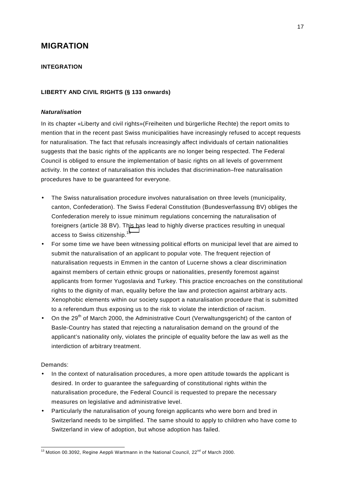# <span id="page-16-0"></span>**MIGRATION**

#### **INTEGRATION**

#### **LIBERTY AND CIVIL RIGHTS (§ 133 onwards)**

#### *Naturalisation*

In its chapter «Liberty and civil rights»(Freiheiten und bürgerliche Rechte) the report omits to mention that in the recent past Swiss municipalities have increasingly refused to accept requests for naturalisation. The fact that refusals increasingly affect individuals of certain nationalities suggests that the basic rights of the applicants are no longer being respected. The Federal Council is obliged to ensure the implementation of basic rights on all levels of government activity. In the context of naturalisation this includes that discrimination–free naturalisation procedures have to be guaranteed for everyone.

- The Swiss naturalisation procedure involves naturalisation on three levels (municipality, canton, Confederation). The Swiss Federal Constitution (Bundesverfassung BV) obliges the Confederation merely to issue minimum regulations concerning the naturalisation of foreigners (article 38 BV). This has lead to highly diverse practices resulting in unequal access to Swiss citizenship.<sup>13</sup>
- For some time we have been witnessing political efforts on municipal level that are aimed to submit the naturalisation of an applicant to popular vote. The frequent rejection of naturalisation requests in Emmen in the canton of Lucerne shows a clear discrimination against members of certain ethnic groups or nationalities, presently foremost against applicants from former Yugoslavia and Turkey. This practice encroaches on the constitutional rights to the dignity of man, equality before the law and protection against arbitrary acts. Xenophobic elements within our society support a naturalisation procedure that is submitted to a referendum thus exposing us to the risk to violate the interdiction of racism.
- On the 29<sup>th</sup> of March 2000, the Administrative Court (Verwaltungsgericht) of the canton of Basle-Country has stated that rejecting a naturalisation demand on the ground of the applicant's nationality only, violates the principle of equality before the law as well as the interdiction of arbitrary treatment.

- In the context of naturalisation procedures, a more open attitude towards the applicant is desired. In order to guarantee the safeguarding of constitutional rights within the naturalisation procedure, the Federal Council is requested to prepare the necessary measures on legislative and administrative level.
- Particularly the naturalisation of young foreign applicants who were born and bred in Switzerland needs to be simplified. The same should to apply to children who have come to Switzerland in view of adoption, but whose adoption has failed.

 $\overline{a}$  $13$  Motion 00.3092, Regine Aeppli Wartmann in the National Council,  $22^{nd}$  of March 2000.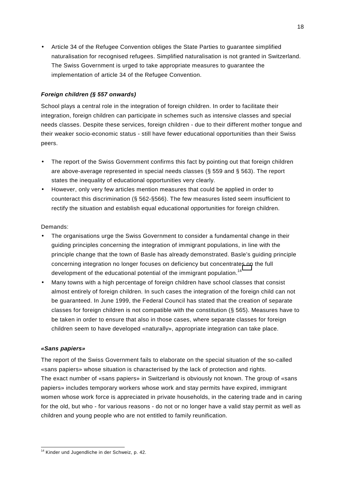<span id="page-17-0"></span>• Article 34 of the Refugee Convention obliges the State Parties to guarantee simplified naturalisation for recognised refugees. Simplified naturalisation is not granted in Switzerland. The Swiss Government is urged to take appropriate measures to guarantee the implementation of article 34 of the Refugee Convention.

#### *Foreign children (§ 557 onwards)*

School plays a central role in the integration of foreign children. In order to facilitate their integration, foreign children can participate in schemes such as intensive classes and special needs classes. Despite these services, foreign children - due to their different mother tongue and their weaker socio-economic status - still have fewer educational opportunities than their Swiss peers.

- The report of the Swiss Government confirms this fact by pointing out that foreign children are above-average represented in special needs classes (§ 559 and § 563). The report states the inequality of educational opportunities very clearly.
- However, only very few articles mention measures that could be applied in order to counteract this discrimination (§ 562-§566). The few measures listed seem insufficient to rectify the situation and establish equal educational opportunities for foreign children.

#### Demands:

- The organisations urge the Swiss Government to consider a fundamental change in their guiding principles concerning the integration of immigrant populations, in line with the principle change that the town of Basle has already demonstrated. Basle's guiding principle concerning integration no longer focuses on deficiency but concentrates on the full development of the educational potential of the immigrant population.<sup>14</sup>
- Many towns with a high percentage of foreign children have school classes that consist almost entirely of foreign children. In such cases the integration of the foreign child can not be guaranteed. In June 1999, the Federal Council has stated that the creation of separate classes for foreign children is not compatible with the constitution (§ 565). Measures have to be taken in order to ensure that also in those cases, where separate classes for foreign children seem to have developed «naturally», appropriate integration can take place.

#### *«Sans papiers»*

The report of the Swiss Government fails to elaborate on the special situation of the so-called «sans papiers» whose situation is characterised by the lack of protection and rights. The exact number of «sans papiers» in Switzerland is obviously not known. The group of «sans papiers» includes temporary workers whose work and stay permits have expired, immigrant women whose work force is appreciated in private households, in the catering trade and in caring for the old, but who - for various reasons - do not or no longer have a valid stay permit as well as children and young people who are not entitled to family reunification.

 $\overline{a}$ <sup>14</sup> Kinder und Jugendliche in der Schweiz, p. 42.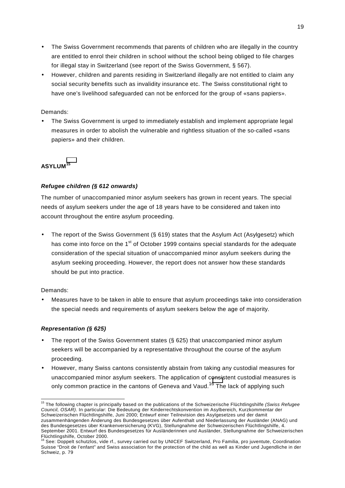- <span id="page-18-0"></span>• The Swiss Government recommends that parents of children who are illegally in the country are entitled to enrol their children in school without the school being obliged to file charges for illegal stay in Switzerland (see report of the Swiss Government, § 567).
- However, children and parents residing in Switzerland illegally are not entitled to claim any social security benefits such as invalidity insurance etc. The Swiss constitutional right to have one's livelihood safeguarded can not be enforced for the group of «sans papiers».

• The Swiss Government is urged to immediately establish and implement appropriate legal measures in order to abolish the vulnerable and rightless situation of the so-called «sans papiers» and their children.

#### **ASYLUM<sup>15</sup>**

#### *Refugee children (§ 612 onwards)*

The number of unaccompanied minor asylum seekers has grown in recent years. The special needs of asylum seekers under the age of 18 years have to be considered and taken into account throughout the entire asylum proceeding.

• The report of the Swiss Government (§ 619) states that the Asylum Act (Asylgesetz) which has come into force on the  $1<sup>st</sup>$  of October 1999 contains special standards for the adequate consideration of the special situation of unaccompanied minor asylum seekers during the asylum seeking proceeding. However, the report does not answer how these standards should be put into practice.

#### Demands:

• Measures have to be taken in able to ensure that asylum proceedings take into consideration the special needs and requirements of asylum seekers below the age of majority.

#### *Representation (§ 625)*

- The report of the Swiss Government states (§ 625) that unaccompanied minor asylum seekers will be accompanied by a representative throughout the course of the asylum proceeding.
- However, many Swiss cantons consistently abstain from taking any custodial measures for unaccompanied minor asylum seekers. The application of consistent custodial measures is only common practice in the cantons of Geneva and Vaud.<sup>16</sup> The lack of applying such

l 15 The following chapter is principally based on the publications of the Schweizerische Flüchtlingshilfe *(Swiss Refugee Council, OSAR)*. In particular: Die Bedeutung der Kinderrechtskonvention im Asylbereich, Kurzkommentar der Schweizerischen Flüchtlingshilfe, Juni 2000; Entwurf einer Teilrevision des Asylgesetzes und der damit zusammenhängenden Änderung des Bundesgesetzes über Aufenthalt und Niederlassung der Ausländer (ANAG) und des Bundesgesetzes über Krankenversicherung (KVG), Stellungnahme der Schweizerischen Flüchtlingshilfe, 4. September 2001. Entwurf des Bundesgesetzes für Ausländerinnen und Ausländer, Stellungnahme der Schweizerischen

Flüchtlingshilfe, October 2000.<br><sup>16</sup> See: Doppelt schutzlos, vide rf., survey carried out by UNICEF Switzerland, Pro Familia, pro juventute, Coordination Suisse "Droit de l'enfant" and Swiss association for the protection of the child as well as Kinder und Jugendliche in der Schweiz, p. 79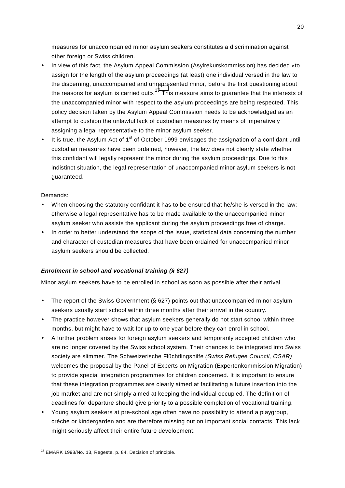<span id="page-19-0"></span>measures for unaccompanied minor asylum seekers constitutes a discrimination against other foreign or Swiss children.

- In view of this fact, the Asylum Appeal Commission (Asylrekurskommission) has decided «to assign for the length of the asylum proceedings (at least) one individual versed in the law to the discerning, unaccompanied and unrepresented minor, before the first questioning about the reasons for asylum is carried out».<sup>17</sup> This measure aims to guarantee that the interests of the unaccompanied minor with respect to the asylum proceedings are being respected. This policy decision taken by the Asylum Appeal Commission needs to be acknowledged as an attempt to cushion the unlawful lack of custodian measures by means of imperatively assigning a legal representative to the minor asylum seeker.
- It is true, the Asylum Act of 1<sup>st</sup> of October 1999 envisages the assignation of a confidant until custodian measures have been ordained, however, the law does not clearly state whether this confidant will legally represent the minor during the asylum proceedings. Due to this indistinct situation, the legal representation of unaccompanied minor asylum seekers is not guaranteed.

#### Demands:

- When choosing the statutory confidant it has to be ensured that he/she is versed in the law; otherwise a legal representative has to be made available to the unaccompanied minor asylum seeker who assists the applicant during the asylum proceedings free of charge.
- In order to better understand the scope of the issue, statistical data concerning the number and character of custodian measures that have been ordained for unaccompanied minor asylum seekers should be collected.

#### *Enrolment in school and vocational training (§ 627)*

Minor asylum seekers have to be enrolled in school as soon as possible after their arrival.

- The report of the Swiss Government  $(S 627)$  points out that unaccompanied minor asylum seekers usually start school within three months after their arrival in the country.
- The practice however shows that asylum seekers generally do not start school within three months, but might have to wait for up to one year before they can enrol in school.
- A further problem arises for foreign asylum seekers and temporarily accepted children who are no longer covered by the Swiss school system. Their chances to be integrated into Swiss society are slimmer. The Schweizerische Flüchtlingshilfe *(Swiss Refugee Council, OSAR)* welcomes the proposal by the Panel of Experts on Migration (Expertenkommission Migration) to provide special integration programmes for children concerned. It is important to ensure that these integration programmes are clearly aimed at facilitating a future insertion into the job market and are not simply aimed at keeping the individual occupied. The definition of deadlines for departure should give priority to a possible completion of vocational training.
- Young asylum seekers at pre-school age often have no possibility to attend a playgroup, crèche or kindergarden and are therefore missing out on important social contacts. This lack might seriously affect their entire future development.

l  $17$  EMARK 1998/No. 13, Regeste, p. 84, Decision of principle.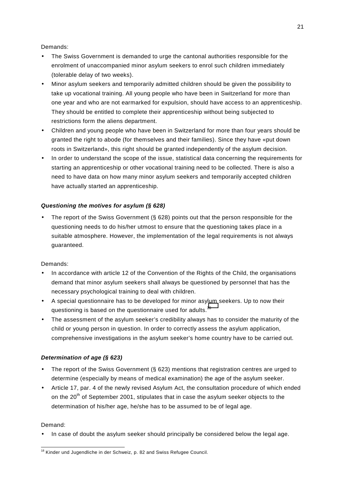- <span id="page-20-0"></span>The Swiss Government is demanded to urge the cantonal authorities responsible for the enrolment of unaccompanied minor asylum seekers to enrol such children immediately (tolerable delay of two weeks).
- Minor asylum seekers and temporarily admitted children should be given the possibility to take up vocational training. All young people who have been in Switzerland for more than one year and who are not earmarked for expulsion, should have access to an apprenticeship. They should be entitled to complete their apprenticeship without being subjected to restrictions form the aliens department.
- Children and young people who have been in Switzerland for more than four years should be granted the right to abode (for themselves and their families). Since they have «put down roots in Switzerland», this right should be granted independently of the asylum decision.
- In order to understand the scope of the issue, statistical data concerning the requirements for starting an apprenticeship or other vocational training need to be collected. There is also a need to have data on how many minor asylum seekers and temporarily accepted children have actually started an apprenticeship.

#### *Questioning the motives for asylum (§ 628)*

The report of the Swiss Government (§ 628) points out that the person responsible for the questioning needs to do his/her utmost to ensure that the questioning takes place in a suitable atmosphere. However, the implementation of the legal requirements is not always guaranteed.

#### Demands:

- In accordance with article 12 of the Convention of the Rights of the Child, the organisations demand that minor asylum seekers shall always be questioned by personnel that has the necessary psychological training to deal with children.
- A special questionnaire has to be developed for minor asylum seekers. Up to now their questioning is based on the questionnaire used for adults.<sup>18</sup>
- The assessment of the asylum seeker's credibility always has to consider the maturity of the child or young person in question. In order to correctly assess the asylum application, comprehensive investigations in the asylum seeker's home country have to be carried out.

#### *Determination of age (§ 623)*

- The report of the Swiss Government (§ 623) mentions that registration centres are urged to determine (especially by means of medical examination) the age of the asylum seeker.
- Article 17, par. 4 of the newly revised Asylum Act, the consultation procedure of which ended on the  $20<sup>th</sup>$  of September 2001, stipulates that in case the asylum seeker objects to the determination of his/her age, he/she has to be assumed to be of legal age.

#### Demand:

• In case of doubt the asylum seeker should principally be considered below the legal age.

 $\overline{a}$  $18$  Kinder und Jugendliche in der Schweiz, p. 82 and Swiss Refugee Council.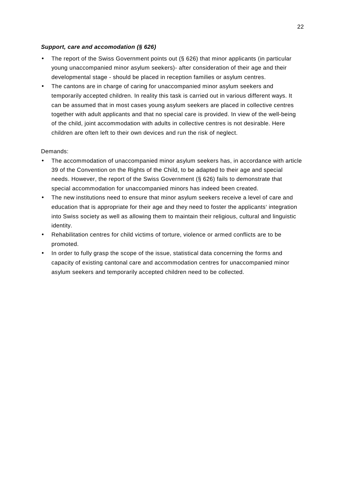#### <span id="page-21-0"></span>*Support, care and accomodation (§ 626)*

- The report of the Swiss Government points out (§ 626) that minor applicants (in particular young unaccompanied minor asylum seekers)- after consideration of their age and their developmental stage - should be placed in reception families or asylum centres.
- The cantons are in charge of caring for unaccompanied minor asylum seekers and temporarily accepted children. In reality this task is carried out in various different ways. It can be assumed that in most cases young asylum seekers are placed in collective centres together with adult applicants and that no special care is provided. In view of the well-being of the child, joint accommodation with adults in collective centres is not desirable. Here children are often left to their own devices and run the risk of neglect.

- The accommodation of unaccompanied minor asylum seekers has, in accordance with article 39 of the Convention on the Rights of the Child, to be adapted to their age and special needs. However, the report of the Swiss Government (§ 626) fails to demonstrate that special accommodation for unaccompanied minors has indeed been created.
- The new institutions need to ensure that minor asylum seekers receive a level of care and education that is appropriate for their age and they need to foster the applicants' integration into Swiss society as well as allowing them to maintain their religious, cultural and linguistic identity.
- Rehabilitation centres for child victims of torture, violence or armed conflicts are to be promoted.
- In order to fully grasp the scope of the issue, statistical data concerning the forms and capacity of existing cantonal care and accommodation centres for unaccompanied minor asylum seekers and temporarily accepted children need to be collected.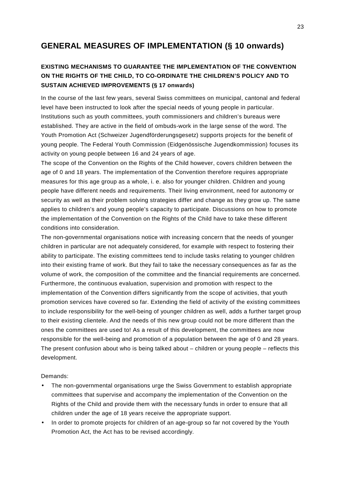# <span id="page-22-0"></span>**GENERAL MEASURES OF IMPLEMENTATION (§ 10 onwards)**

### **EXISTING MECHANISMS TO GUARANTEE THE IMPLEMENTATION OF THE CONVENTION ON THE RIGHTS OF THE CHILD, TO CO-ORDINATE THE CHILDREN'S POLICY AND TO SUSTAIN ACHIEVED IMPROVEMENTS (§ 17 onwards)**

In the course of the last few years, several Swiss committees on municipal, cantonal and federal level have been instructed to look after the special needs of young people in particular. Institutions such as youth committees, youth commissioners and children's bureaus were established. They are active in the field of ombuds-work in the large sense of the word. The Youth Promotion Act (Schweizer Jugendförderungsgesetz) supports projects for the benefit of young people. The Federal Youth Commission (Eidgenössische Jugendkommission) focuses its activity on young people between 16 and 24 years of age.

The scope of the Convention on the Rights of the Child however, covers children between the age of 0 and 18 years. The implementation of the Convention therefore requires appropriate measures for this age group as a whole, i. e. also for younger children. Children and young people have different needs and requirements. Their living environment, need for autonomy or security as well as their problem solving strategies differ and change as they grow up. The same applies to children's and young people's capacity to participate. Discussions on how to promote the implementation of the Convention on the Rights of the Child have to take these different conditions into consideration.

The non-governmental organisations notice with increasing concern that the needs of younger children in particular are not adequately considered, for example with respect to fostering their ability to participate. The existing committees tend to include tasks relating to younger children into their existing frame of work. But they fail to take the necessary consequences as far as the volume of work, the composition of the committee and the financial requirements are concerned. Furthermore, the continuous evaluation, supervision and promotion with respect to the implementation of the Convention differs significantly from the scope of activities, that youth promotion services have covered so far. Extending the field of activity of the existing committees to include responsibility for the well-being of younger children as well, adds a further target group to their existing clientele. And the needs of this new group could not be more different than the ones the committees are used to! As a result of this development, the committees are now responsible for the well-being and promotion of a population between the age of 0 and 28 years. The present confusion about who is being talked about – children or young people – reflects this development.

- The non-governmental organisations urge the Swiss Government to establish appropriate committees that supervise and accompany the implementation of the Convention on the Rights of the Child and provide them with the necessary funds in order to ensure that all children under the age of 18 years receive the appropriate support.
- In order to promote projects for children of an age-group so far not covered by the Youth Promotion Act, the Act has to be revised accordingly.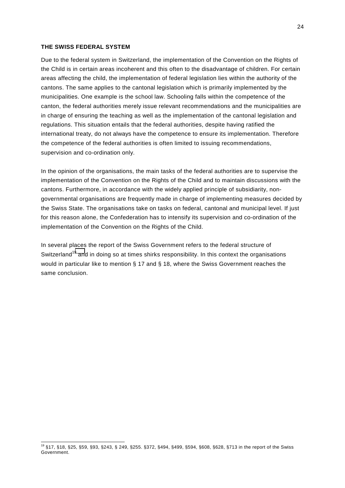#### <span id="page-23-0"></span>**THE SWISS FEDERAL SYSTEM**

 $\overline{a}$ 

Due to the federal system in Switzerland, the implementation of the Convention on the Rights of the Child is in certain areas incoherent and this often to the disadvantage of children. For certain areas affecting the child, the implementation of federal legislation lies within the authority of the cantons. The same applies to the cantonal legislation which is primarily implemented by the municipalities. One example is the school law. Schooling falls within the competence of the canton, the federal authorities merely issue relevant recommendations and the municipalities are in charge of ensuring the teaching as well as the implementation of the cantonal legislation and regulations. This situation entails that the federal authorities, despite having ratified the international treaty, do not always have the competence to ensure its implementation. Therefore the competence of the federal authorities is often limited to issuing recommendations, supervision and co-ordination only.

In the opinion of the organisations, the main tasks of the federal authorities are to supervise the implementation of the Convention on the Rights of the Child and to maintain discussions with the cantons. Furthermore, in accordance with the widely applied principle of subsidiarity, nongovernmental organisations are frequently made in charge of implementing measures decided by the Swiss State. The organisations take on tasks on federal, cantonal and municipal level. If just for this reason alone, the Confederation has to intensify its supervision and co-ordination of the implementation of the Convention on the Rights of the Child.

In several places the report of the Swiss Government refers to the federal structure of Switzerland<sup>19</sup> and in doing so at times shirks responsibility. In this context the organisations would in particular like to mention § 17 and § 18, where the Swiss Government reaches the same conclusion.

<sup>19 §17, §18, §25, §59, §93, §243, § 249, §255. §372, §494, §499, §594, §608, §628, §713</sup> in the report of the Swiss Government.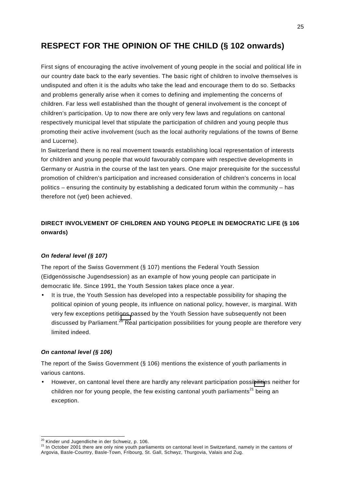# <span id="page-24-0"></span>**RESPECT FOR THE OPINION OF THE CHILD (§ 102 onwards)**

First signs of encouraging the active involvement of young people in the social and political life in our country date back to the early seventies. The basic right of children to involve themselves is undisputed and often it is the adults who take the lead and encourage them to do so. Setbacks and problems generally arise when it comes to defining and implementing the concerns of children. Far less well established than the thought of general involvement is the concept of children's participation. Up to now there are only very few laws and regulations on cantonal respectively municipal level that stipulate the participation of children and young people thus promoting their active involvement (such as the local authority regulations of the towns of Berne and Lucerne).

In Switzerland there is no real movement towards establishing local representation of interests for children and young people that would favourably compare with respective developments in Germany or Austria in the course of the last ten years. One major prerequisite for the successful promotion of children's participation and increased consideration of children's concerns in local politics – ensuring the continuity by establishing a dedicated forum within the community – has therefore not (yet) been achieved.

### **DIRECT INVOLVEMENT OF CHILDREN AND YOUNG PEOPLE IN DEMOCRATIC LIFE (§ 106 onwards)**

#### *On federal level (§ 107)*

The report of the Swiss Government (§ 107) mentions the Federal Youth Session (Eidgenössische Jugendsession) as an example of how young people can participate in democratic life. Since 1991, the Youth Session takes place once a year.

It is true, the Youth Session has developed into a respectable possibility for shaping the political opinion of young people, its influence on national policy, however, is marginal. With very few exceptions petitions passed by the Youth Session have subsequently not been discussed by Parliament.<sup>20</sup> Real participation possibilities for young people are therefore very limited indeed.

#### *On cantonal level (§ 106)*

The report of the Swiss Government (§ 106) mentions the existence of youth parliaments in various cantons.

• However, on cantonal level there are hardly any relevant participation possibilities neither for children nor for young people, the few existing cantonal youth parliaments<sup>21</sup> being an exception.

<sup>&</sup>lt;sup>20</sup> Kinder und Jugendliche in der Schweiz, p. 106.

<sup>&</sup>lt;sup>21</sup> In October 2001 there are only nine youth parliaments on cantonal level in Switzerland, namely in the cantons of Argovia, Basle-Country, Basle-Town, Fribourg, St. Gall, Schwyz, Thurgovia, Valais and Zug.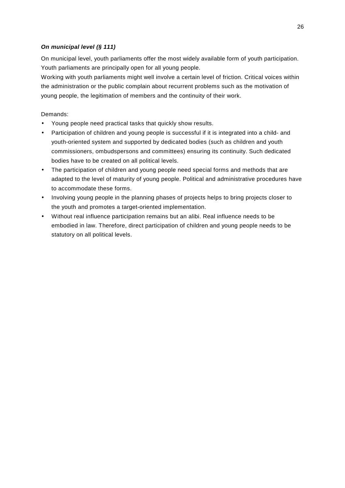#### <span id="page-25-0"></span>*On municipal level (§ 111)*

On municipal level, youth parliaments offer the most widely available form of youth participation. Youth parliaments are principally open for all young people.

Working with youth parliaments might well involve a certain level of friction. Critical voices within the administration or the public complain about recurrent problems such as the motivation of young people, the legitimation of members and the continuity of their work.

- Young people need practical tasks that quickly show results.
- Participation of children and young people is successful if it is integrated into a child- and youth-oriented system and supported by dedicated bodies (such as children and youth commissioners, ombudspersons and committees) ensuring its continuity. Such dedicated bodies have to be created on all political levels.
- The participation of children and young people need special forms and methods that are adapted to the level of maturity of young people. Political and administrative procedures have to accommodate these forms.
- Involving young people in the planning phases of projects helps to bring projects closer to the youth and promotes a target-oriented implementation.
- Without real influence participation remains but an alibi. Real influence needs to be embodied in law. Therefore, direct participation of children and young people needs to be statutory on all political levels.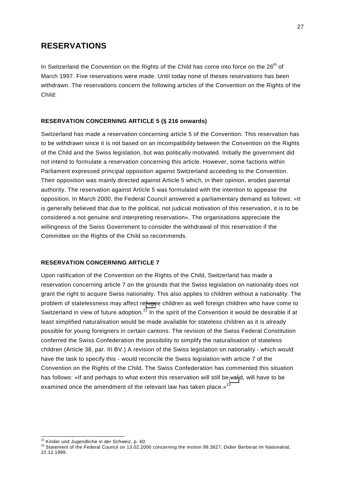# <span id="page-26-0"></span>**RESERVATIONS**

In Switzerland the Convention on the Rights of the Child has come into force on the 26<sup>th</sup> of March 1997. Five reservations were made. Until today none of theses reservations has been withdrawn. The reservations concern the following articles of the Convention on the Rights of the Child:

#### **RESERVATION CONCERNING ARTICLE 5 (§ 216 onwards)**

Switzerland has made a reservation concerning article 5 of the Convention. This reservation has to be withdrawn since it is not based on an incompatibility between the Convention on the Rights of the Child and the Swiss legislation, but was politically motivated. Initially the government did not intend to formulate a reservation concerning this article. However, some factions within Parliament expressed principal opposition against Switzerland acceeding to the Convention. Their opposition was mainly directed against Article 5 which, in their opinion, erodes parental authority. The reservation against Article 5 was formulated with the intention to appease the opposition. In March 2000, the Federal Council answered a parliamentary demand as follows: «It is generally believed that due to the political, not judicial motivation of this reservation, it is to be considered a not genuine and interpreting reservation». The organisations appreciate the willingness of the Swiss Government to consider the withdrawal of this reservation if the Committee on the Rights of the Child so recommends.

#### **RESERVATION CONCERNING ARTICLE 7**

Upon ratification of the Convention on the Rights of the Child, Switzerland has made a reservation concerning article 7 on the grounds that the Swiss legislation on nationality does not grant the right to acquire Swiss nationality. This also applies to children without a nationality. The problem of statelessness may affect refugee children as well foreign children who have come to Switzerland in view of future adoption.<sup>22</sup> In the spirit of the Convention it would be desirable if at least simplified naturalisation would be made available for stateless children as it is already possible for young foreigners in certain cantons. The revision of the Swiss Federal Constitution conferred the Swiss Confederation the possibility to simplify the naturalisation of stateless children (Article 38, par. III BV.) A revision of the Swiss legislation on nationality - which would have the task to specify this - would reconcile the Swiss legislation with article 7 of the Convention on the Rights of the Child. The Swiss Confederation has commented this situation has follows: «If and perhaps to what extent this reservation will still be valid, will have to be examined once the amendment of the relevant law has taken place. $v^{23}$ 

<sup>&</sup>lt;sup>22</sup> Kinder und Jugendliche in der Schweiz, p. 60.

<sup>&</sup>lt;sup>23</sup> Statement of the Federal Council on 13.02.2000 concerning the motion 99.3627, Didier Berberat im Nationalrat, 22.12.1999.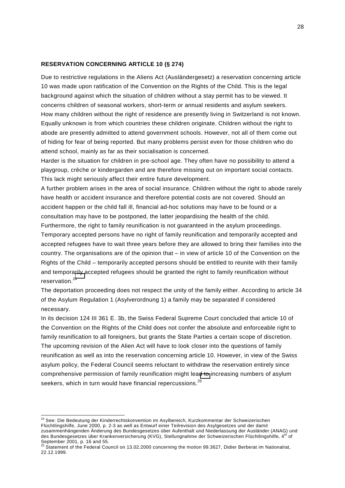#### <span id="page-27-0"></span>**RESERVATION CONCERNING ARTICLE 10 (§ 274)**

Due to restrictive regulations in the Aliens Act (Ausländergesetz) a reservation concerning article 10 was made upon ratification of the Convention on the Rights of the Child. This is the legal background against which the situation of children without a stay permit has to be viewed. It concerns children of seasonal workers, short-term or annual residents and asylum seekers. How many children without the right of residence are presently living in Switzerland is not known. Equally unknown is from which countries these children originate. Children without the right to abode are presently admitted to attend government schools. However, not all of them come out of hiding for fear of being reported. But many problems persist even for those children who do attend school, mainly as far as their socialisation is concerned.

Harder is the situation for children in pre-school age. They often have no possibility to attend a playgroup, crèche or kindergarden and are therefore missing out on important social contacts. This lack might seriously affect their entire future development.

A further problem arises in the area of social insurance. Children without the right to abode rarely have health or accident insurance and therefore potential costs are not covered. Should an accident happen or the child fall ill, financial ad-hoc solutions may have to be found or a consultation may have to be postponed, the latter jeopardising the health of the child.

Furthermore, the right to family reunification is not guaranteed in the asylum proceedings. Temporary accepted persons have no right of family reunification and temporarily accepted and accepted refugees have to wait three years before they are allowed to bring their families into the country. The organisations are of the opinion that – in view of article 10 of the Convention on the Rights of the Child – temporarily accepted persons should be entitled to reunite with their family and temporarily accepted refugees should be granted the right to family reunification without reservation.<sup>24</sup>

The deportation proceeding does not respect the unity of the family either. According to article 34 of the Asylum Regulation 1 (Asylverordnung 1) a family may be separated if considered necessary.

In its decision 124 III 361 E. 3b, the Swiss Federal Supreme Court concluded that article 10 of the Convention on the Rights of the Child does not confer the absolute and enforceable right to family reunification to all foreigners, but grants the State Parties a certain scope of discretion. The upcoming revision of the Alien Act will have to look closer into the questions of family reunification as well as into the reservation concerning article 10. However, in view of the Swiss asylum policy, the Federal Council seems reluctant to withdraw the reservation entirely since comprehensive permission of family reunification might lead to increasing numbers of asylum seekers, which in turn would have financial repercussions.<sup>25</sup>

 $\overline{a}$ 

<sup>&</sup>lt;sup>24</sup> See: Die Bedeutung der Kinderrechtskonvention im Asylbereich, Kurzkommentar der Schweizerischen Flüchtlingshilfe, June 2000, p. 2-3 as well as Entwurf einer Teilrevision des Asylgesetzes und der damit zusammenhängenden Änderung des Bundesgesetzes über Aufenthalt und Niederlassung der Ausländer (ANAG) und des Bundesgesetzes über Krankenversicherung (KVG), Stellungnahme der Schweizerischen Flüchtlingshilfe, 4<sup>th</sup> of

September 2001, p. 16 and 55.<br><sup>25</sup> Statement of the Federal Council on 13.02.2000 concerning the motion 99.3627, Didier Berberat im Nationalrat, 22.12.1999.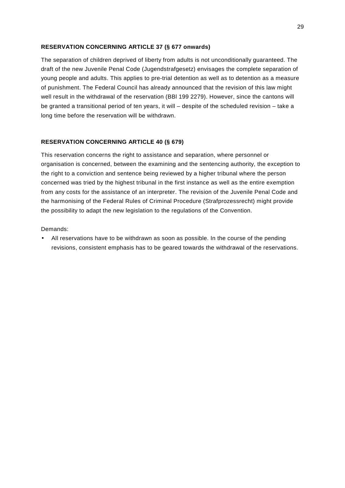#### <span id="page-28-0"></span>**RESERVATION CONCERNING ARTICLE 37 (§ 677 onwards)**

The separation of children deprived of liberty from adults is not unconditionally guaranteed. The draft of the new Juvenile Penal Code (Jugendstrafgesetz) envisages the complete separation of young people and adults. This applies to pre-trial detention as well as to detention as a measure of punishment. The Federal Council has already announced that the revision of this law might well result in the withdrawal of the reservation (BBl 199 2279). However, since the cantons will be granted a transitional period of ten years, it will – despite of the scheduled revision – take a long time before the reservation will be withdrawn.

#### **RESERVATION CONCERNING ARTICLE 40 (§ 679)**

This reservation concerns the right to assistance and separation, where personnel or organisation is concerned, between the examining and the sentencing authority, the exception to the right to a conviction and sentence being reviewed by a higher tribunal where the person concerned was tried by the highest tribunal in the first instance as well as the entire exemption from any costs for the assistance of an interpreter. The revision of the Juvenile Penal Code and the harmonising of the Federal Rules of Criminal Procedure (Strafprozessrecht) might provide the possibility to adapt the new legislation to the regulations of the Convention.

#### Demands:

• All reservations have to be withdrawn as soon as possible. In the course of the pending revisions, consistent emphasis has to be geared towards the withdrawal of the reservations.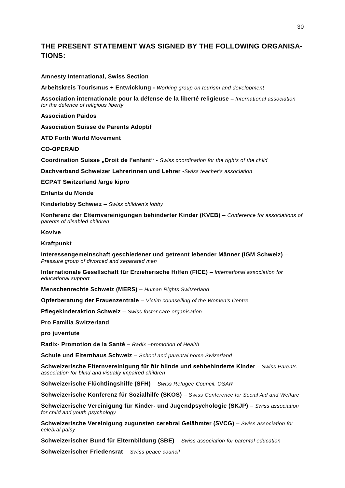## **THE PRESENT STATEMENT WAS SIGNED BY THE FOLLOWING ORGANISA-TIONS:**

#### **Amnesty International, Swiss Section**

**Arbeitskreis Tourismus + Entwicklung -** *Working group on tourism and development*

**Association internationale pour la défense de la liberté religieuse** *– International association for the defence of religious liberty* 

**Association Paidos** 

**Association Suisse de Parents Adoptif** 

**ATD Forth World Movement** 

**CO-OPERAID** 

**Coordination Suisse "Droit de l'enfant"** - *Swiss coordination for the rights of the child* 

**Dachverband Schweizer Lehrerinnen und Lehrer** -*Swiss teacher's association*

**ECPAT Switzerland /arge kipro** 

**Enfants du Monde** 

**Kinderlobby Schweiz** – *Swiss children's lobby*

**Konferenz der Elternvereinigungen behinderter Kinder (KVEB)** – *Conference for associations of parents of disabled children* 

#### **Kovive**

**Kraftpunkt** 

**Interessengemeinschaft geschiedener und getrennt lebender Männer (IGM Schweiz)** – *Pressure group of divorced and separated men* 

**Internationale Gesellschaft für Erzieherische Hilfen (FICE)** – *International association for educational support* 

**Menschenrechte Schweiz (MERS)** – *Human Rights Switzerland* 

**Opferberatung der Frauenzentrale** – *Victim counselling of the Women's Centre* 

**Pflegekinderaktion Schweiz** – *Swiss foster care organisation* 

**Pro Familia Switzerland** 

**pro juventute** 

**Radix- Promotion de la Santé** – *Radix –promotion of Health* 

**Schule und Elternhaus Schweiz** – *School and parental home Swizerland* 

**Schweizerische Elternvereinigung für für blinde und sehbehinderte Kinder** *– Swiss Parents association for blind and visually impaired children* 

**Schweizerische Flüchtlingshilfe (SFH)** – *Swiss Refugee Council, OSAR* 

**Schweizerische Konferenz für Sozialhilfe (SKOS)** – *Swiss Conference for Social Aid and Welfare* 

**Schweizerische Vereinigung für Kinder- und Jugendpsychologie (SKJP)** – *Swiss association for child and youth psychology* 

**Schweizerische Vereinigung zugunsten cerebral Gelähmter (SVCG)** – *Swiss association for celebral palsy* 

**Schweizerischer Bund für Elternbildung (SBE)** – *Swiss association for parental education* 

**Schweizerischer Friedensrat** – *Swiss peace council*